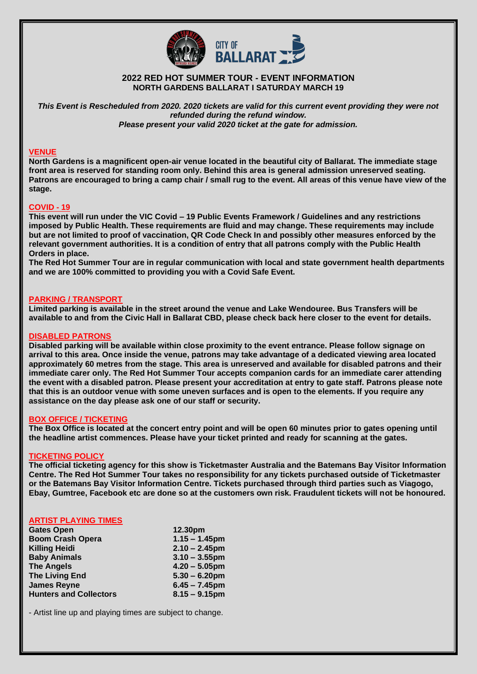

# **2022 RED HOT SUMMER TOUR - EVENT INFORMATION NORTH GARDENS BALLARAT I SATURDAY MARCH 19**

*This Event is Rescheduled from 2020. 2020 tickets are valid for this current event providing they were not refunded during the refund window. Please present your valid 2020 ticket at the gate for admission.*

# **VENUE**

**North Gardens is a magnificent open-air venue located in the beautiful city of Ballarat. The immediate stage front area is reserved for standing room only. Behind this area is general admission unreserved seating. Patrons are encouraged to bring a camp chair / small rug to the event. All areas of this venue have view of the stage.** 

### **COVID - 19**

**This event will run under the VIC Covid – 19 Public Events Framework / Guidelines and any restrictions imposed by Public Health. These requirements are fluid and may change. These requirements may include but are not limited to proof of vaccination, QR Code Check In and possibly other measures enforced by the relevant government authorities. It is a condition of entry that all patrons comply with the Public Health Orders in place.** 

**The Red Hot Summer Tour are in regular communication with local and state government health departments and we are 100% committed to providing you with a Covid Safe Event.** 

### **PARKING / TRANSPORT**

**Limited parking is available in the street around the venue and Lake Wendouree. Bus Transfers will be available to and from the Civic Hall in Ballarat CBD, please check back here closer to the event for details.** 

## **DISABLED PATRONS**

**Disabled parking will be available within close proximity to the event entrance. Please follow signage on arrival to this area. Once inside the venue, patrons may take advantage of a dedicated viewing area located approximately 60 metres from the stage. This area is unreserved and available for disabled patrons and their immediate carer only. The Red Hot Summer Tour accepts companion cards for an immediate carer attending the event with a disabled patron. Please present your accreditation at entry to gate staff. Patrons please note that this is an outdoor venue with some uneven surfaces and is open to the elements. If you require any assistance on the day please ask one of our staff or security.** 

### **BOX OFFICE / TICKETING**

**The Box Office is located at the concert entry point and will be open 60 minutes prior to gates opening until the headline artist commences. Please have your ticket printed and ready for scanning at the gates.** 

### **TICKETING POLICY**

**The official ticketing agency for this show is Ticketmaster Australia and the Batemans Bay Visitor Information Centre. The Red Hot Summer Tour takes no responsibility for any tickets purchased outside of Ticketmaster or the Batemans Bay Visitor Information Centre. Tickets purchased through third parties such as Viagogo, Ebay, Gumtree, Facebook etc are done so at the customers own risk. Fraudulent tickets will not be honoured.** 

## **ARTIST PLAYING TIMES**

| <b>Gates Open</b>             | 12.30pm          |
|-------------------------------|------------------|
| <b>Boom Crash Opera</b>       | $1.15 - 1.45$ pm |
| <b>Killing Heidi</b>          | $2.10 - 2.45$ pm |
| <b>Baby Animals</b>           | $3.10 - 3.55$ pm |
| <b>The Angels</b>             | $4.20 - 5.05$ pm |
| <b>The Living End</b>         | $5.30 - 6.20$ pm |
| <b>James Reyne</b>            | $6.45 - 7.45$ pm |
| <b>Hunters and Collectors</b> | $8.15 - 9.15$ pm |

- Artist line up and playing times are subject to change.